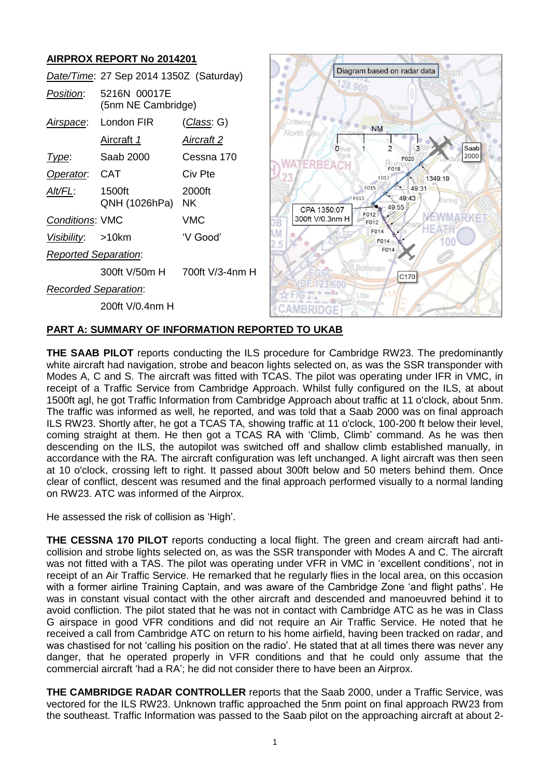# **AIRPROX REPORT No 2014201**

|                             | Date/Time: 27 Sep 2014 1350Z (Saturday) |                               |             |
|-----------------------------|-----------------------------------------|-------------------------------|-------------|
| Position:                   | 5216N 00017E<br>(5nm NE Cambridge)      |                               |             |
| <u>Airspace:</u>            | London FIR                              | <u>(Class</u> : G)            | iltering    |
|                             | <u>Aircraft 1</u>                       | <u>Aircraft 2</u>             | North Fe    |
| Type:                       | Saab 2000                               | Cessna 170                    |             |
| Operator.                   | <b>CAT</b>                              | Civ Pte                       |             |
| Alt/FL:                     | 1500ft<br>QNH (1026hPa)                 | 2000ft<br><b>NK</b>           | CPA 1350    |
| <b>Conditions: VMC</b>      |                                         | VMC                           | 300ft V/0.3 |
| Visibility: >10km           |                                         | 'V Good'                      | 2.5         |
| <b>Reported Separation:</b> |                                         |                               |             |
|                             |                                         | 300ft V/50m H 700ft V/3-4nm H |             |
| <b>Recorded Separation:</b> |                                         |                               |             |
|                             | 200ft V/0.4nm H                         |                               |             |



## **PART A: SUMMARY OF INFORMATION REPORTED TO UKAB**

**THE SAAB PILOT** reports conducting the ILS procedure for Cambridge RW23. The predominantly white aircraft had navigation, strobe and beacon lights selected on, as was the SSR transponder with Modes A, C and S. The aircraft was fitted with TCAS. The pilot was operating under IFR in VMC, in receipt of a Traffic Service from Cambridge Approach. Whilst fully configured on the ILS, at about 1500ft agl, he got Traffic Information from Cambridge Approach about traffic at 11 o'clock, about 5nm. The traffic was informed as well, he reported, and was told that a Saab 2000 was on final approach ILS RW23. Shortly after, he got a TCAS TA, showing traffic at 11 o'clock, 100-200 ft below their level, coming straight at them. He then got a TCAS RA with 'Climb, Climb' command. As he was then descending on the ILS, the autopilot was switched off and shallow climb established manually, in accordance with the RA. The aircraft configuration was left unchanged. A light aircraft was then seen at 10 o'clock, crossing left to right. It passed about 300ft below and 50 meters behind them. Once clear of conflict, descent was resumed and the final approach performed visually to a normal landing on RW23. ATC was informed of the Airprox.

He assessed the risk of collision as 'High'.

**THE CESSNA 170 PILOT** reports conducting a local flight. The green and cream aircraft had anticollision and strobe lights selected on, as was the SSR transponder with Modes A and C. The aircraft was not fitted with a TAS. The pilot was operating under VFR in VMC in 'excellent conditions', not in receipt of an Air Traffic Service. He remarked that he regularly flies in the local area, on this occasion with a former airline Training Captain, and was aware of the Cambridge Zone 'and flight paths'. He was in constant visual contact with the other aircraft and descended and manoeuvred behind it to avoid confliction. The pilot stated that he was not in contact with Cambridge ATC as he was in Class G airspace in good VFR conditions and did not require an Air Traffic Service. He noted that he received a call from Cambridge ATC on return to his home airfield, having been tracked on radar, and was chastised for not 'calling his position on the radio'. He stated that at all times there was never any danger, that he operated properly in VFR conditions and that he could only assume that the commercial aircraft 'had a RA'; he did not consider there to have been an Airprox.

**THE CAMBRIDGE RADAR CONTROLLER** reports that the Saab 2000, under a Traffic Service, was vectored for the ILS RW23. Unknown traffic approached the 5nm point on final approach RW23 from the southeast. Traffic Information was passed to the Saab pilot on the approaching aircraft at about 2-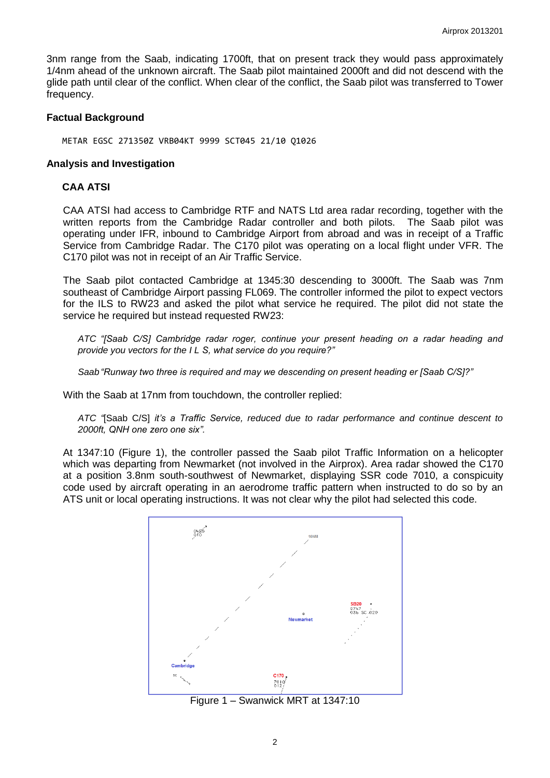3nm range from the Saab, indicating 1700ft, that on present track they would pass approximately 1/4nm ahead of the unknown aircraft. The Saab pilot maintained 2000ft and did not descend with the glide path until clear of the conflict. When clear of the conflict, the Saab pilot was transferred to Tower frequency.

### **Factual Background**

METAR EGSC 271350Z VRB04KT 9999 SCT045 21/10 Q1026

#### **Analysis and Investigation**

### **CAA ATSI**

CAA ATSI had access to Cambridge RTF and NATS Ltd area radar recording, together with the written reports from the Cambridge Radar controller and both pilots. The Saab pilot was operating under IFR, inbound to Cambridge Airport from abroad and was in receipt of a Traffic Service from Cambridge Radar. The C170 pilot was operating on a local flight under VFR. The C170 pilot was not in receipt of an Air Traffic Service.

The Saab pilot contacted Cambridge at 1345:30 descending to 3000ft. The Saab was 7nm southeast of Cambridge Airport passing FL069. The controller informed the pilot to expect vectors for the ILS to RW23 and asked the pilot what service he required. The pilot did not state the service he required but instead requested RW23:

*ATC "[Saab C/S] Cambridge radar roger, continue your present heading on a radar heading and provide you vectors for the I L S, what service do you require?"*

*Saab "Runway two three is required and may we descending on present heading er [Saab C/S]?"*

With the Saab at 17nm from touchdown, the controller replied:

*ATC "*[Saab C/S] *it's a Traffic Service, reduced due to radar performance and continue descent to 2000ft, QNH one zero one six".*

At 1347:10 (Figure 1), the controller passed the Saab pilot Traffic Information on a helicopter which was departing from Newmarket (not involved in the Airprox). Area radar showed the C170 at a position 3.8nm south-southwest of Newmarket, displaying SSR code 7010, a conspicuity code used by aircraft operating in an aerodrome traffic pattern when instructed to do so by an ATS unit or local operating instructions. It was not clear why the pilot had selected this code.



Figure 1 – Swanwick MRT at 1347:10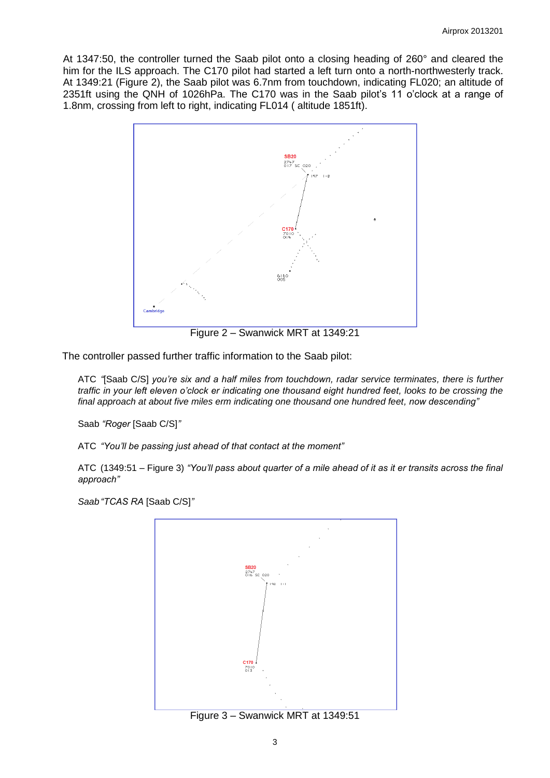At 1347:50, the controller turned the Saab pilot onto a closing heading of 260° and cleared the him for the ILS approach. The C170 pilot had started a left turn onto a north-northwesterly track. At 1349:21 (Figure 2), the Saab pilot was 6.7nm from touchdown, indicating FL020; an altitude of 2351ft using the QNH of 1026hPa. The C170 was in the Saab pilot's 11 o'clock at a range of 1.8nm, crossing from left to right, indicating FL014 ( altitude 1851ft).



Figure 2 – Swanwick MRT at 1349:21

The controller passed further traffic information to the Saab pilot:

ATC *"*[Saab C/S] *you're six and a half miles from touchdown, radar service terminates, there is further traffic in your left eleven o'clock er indicating one thousand eight hundred feet, looks to be crossing the final approach at about five miles erm indicating one thousand one hundred feet, now descending"*

Saab *"Roger* [Saab C/S]*"*

ATC *"You'll be passing just ahead of that contact at the moment"*

ATC (1349:51 – Figure 3) *"You'll pass about quarter of a mile ahead of it as it er transits across the final approach"*

*Saab "TCAS RA* [Saab C/S]*"*



Figure 3 – Swanwick MRT at 1349:51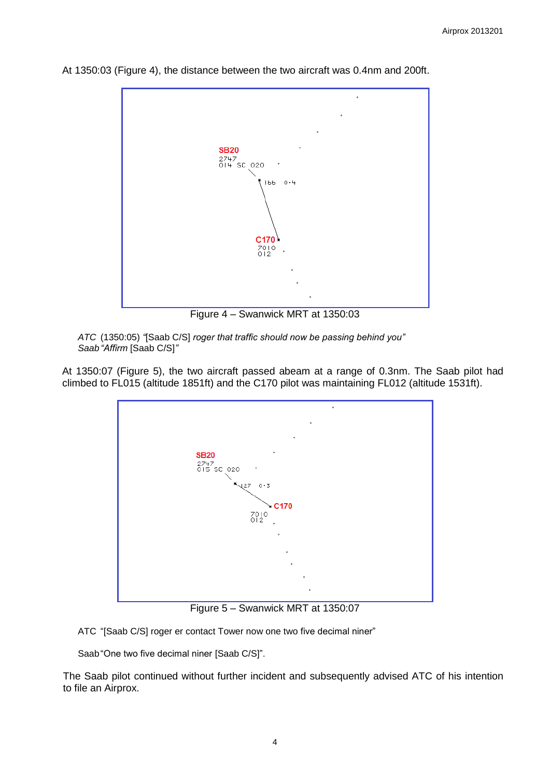

At 1350:03 (Figure 4), the distance between the two aircraft was 0.4nm and 200ft.

Figure 4 – Swanwick MRT at 1350:03

*ATC* (1350:05) *"*[Saab C/S] *roger that traffic should now be passing behind you" Saab "Affirm* [Saab C/S]*"*

At 1350:07 (Figure 5), the two aircraft passed abeam at a range of 0.3nm. The Saab pilot had climbed to FL015 (altitude 1851ft) and the C170 pilot was maintaining FL012 (altitude 1531ft).



Figure 5 – Swanwick MRT at 1350:07

ATC "[Saab C/S] roger er contact Tower now one two five decimal niner"

Saab "One two five decimal niner [Saab C/S]".

The Saab pilot continued without further incident and subsequently advised ATC of his intention to file an Airprox.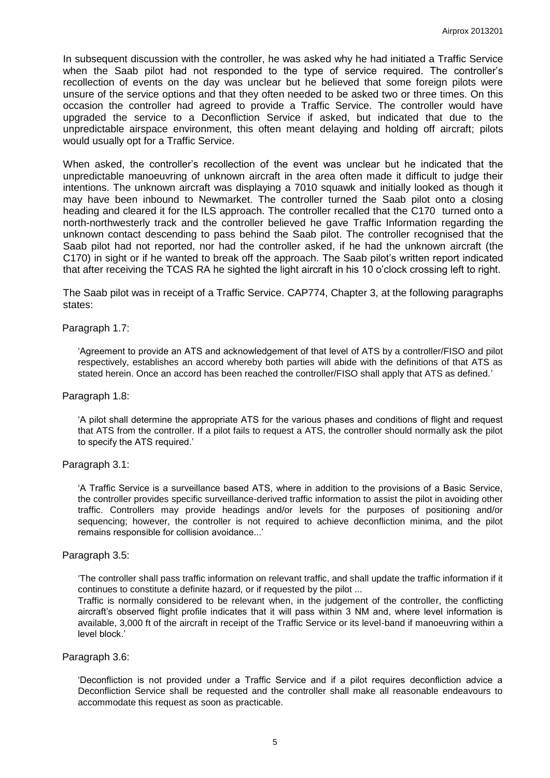In subsequent discussion with the controller, he was asked why he had initiated a Traffic Service when the Saab pilot had not responded to the type of service required. The controller's recollection of events on the day was unclear but he believed that some foreign pilots were unsure of the service options and that they often needed to be asked two or three times. On this occasion the controller had agreed to provide a Traffic Service. The controller would have upgraded the service to a Deconfliction Service if asked, but indicated that due to the unpredictable airspace environment, this often meant delaying and holding off aircraft; pilots would usually opt for a Traffic Service.

When asked, the controller's recollection of the event was unclear but he indicated that the unpredictable manoeuvring of unknown aircraft in the area often made it difficult to judge their intentions. The unknown aircraft was displaying a 7010 squawk and initially looked as though it may have been inbound to Newmarket. The controller turned the Saab pilot onto a closing heading and cleared it for the ILS approach. The controller recalled that the C170 turned onto a north-northwesterly track and the controller believed he gave Traffic Information regarding the unknown contact descending to pass behind the Saab pilot. The controller recognised that the Saab pilot had not reported, nor had the controller asked, if he had the unknown aircraft (the C170) in sight or if he wanted to break off the approach. The Saab pilot's written report indicated that after receiving the TCAS RA he sighted the light aircraft in his 10 o'clock crossing left to right.

The Saab pilot was in receipt of a Traffic Service. CAP774, Chapter 3, at the following paragraphs states:

### Paragraph 1.7:

'Agreement to provide an ATS and acknowledgement of that level of ATS by a controller/FISO and pilot respectively, establishes an accord whereby both parties will abide with the definitions of that ATS as stated herein. Once an accord has been reached the controller/FISO shall apply that ATS as defined.'

#### Paragraph 1.8:

'A pilot shall determine the appropriate ATS for the various phases and conditions of flight and request that ATS from the controller. If a pilot fails to request a ATS, the controller should normally ask the pilot to specify the ATS required.'

#### Paragraph 3.1:

'A Traffic Service is a surveillance based ATS, where in addition to the provisions of a Basic Service, the controller provides specific surveillance-derived traffic information to assist the pilot in avoiding other traffic. Controllers may provide headings and/or levels for the purposes of positioning and/or sequencing; however, the controller is not required to achieve deconfliction minima, and the pilot remains responsible for collision avoidance...'

#### Paragraph 3.5:

'The controller shall pass traffic information on relevant traffic, and shall update the traffic information if it continues to constitute a definite hazard, or if requested by the pilot ...

Traffic is normally considered to be relevant when, in the judgement of the controller, the conflicting aircraft's observed flight profile indicates that it will pass within 3 NM and, where level information is available, 3,000 ft of the aircraft in receipt of the Traffic Service or its level-band if manoeuvring within a level block.'

#### Paragraph 3.6:

'Deconfliction is not provided under a Traffic Service and if a pilot requires deconfliction advice a Deconfliction Service shall be requested and the controller shall make all reasonable endeavours to accommodate this request as soon as practicable.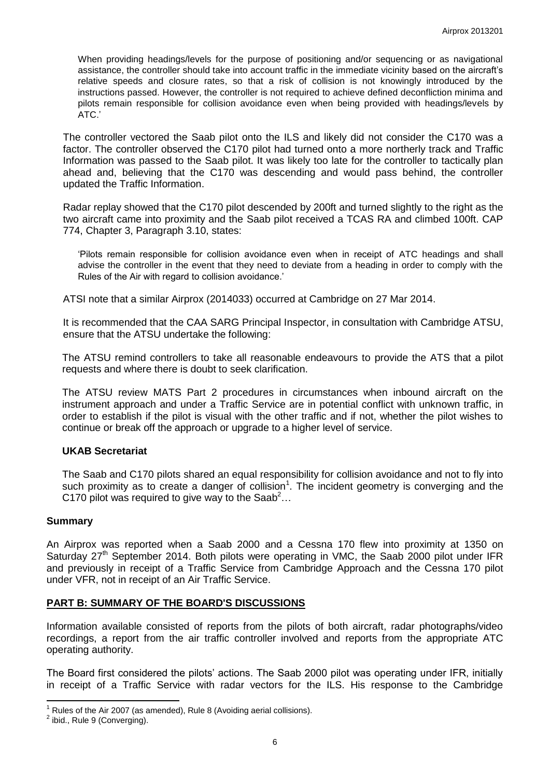When providing headings/levels for the purpose of positioning and/or sequencing or as navigational assistance, the controller should take into account traffic in the immediate vicinity based on the aircraft's relative speeds and closure rates, so that a risk of collision is not knowingly introduced by the instructions passed. However, the controller is not required to achieve defined deconfliction minima and pilots remain responsible for collision avoidance even when being provided with headings/levels by ATC.'

The controller vectored the Saab pilot onto the ILS and likely did not consider the C170 was a factor. The controller observed the C170 pilot had turned onto a more northerly track and Traffic Information was passed to the Saab pilot. It was likely too late for the controller to tactically plan ahead and, believing that the C170 was descending and would pass behind, the controller updated the Traffic Information.

Radar replay showed that the C170 pilot descended by 200ft and turned slightly to the right as the two aircraft came into proximity and the Saab pilot received a TCAS RA and climbed 100ft. CAP 774, Chapter 3, Paragraph 3.10, states:

'Pilots remain responsible for collision avoidance even when in receipt of ATC headings and shall advise the controller in the event that they need to deviate from a heading in order to comply with the Rules of the Air with regard to collision avoidance.'

ATSI note that a similar Airprox (2014033) occurred at Cambridge on 27 Mar 2014.

It is recommended that the CAA SARG Principal Inspector, in consultation with Cambridge ATSU, ensure that the ATSU undertake the following:

The ATSU remind controllers to take all reasonable endeavours to provide the ATS that a pilot requests and where there is doubt to seek clarification.

The ATSU review MATS Part 2 procedures in circumstances when inbound aircraft on the instrument approach and under a Traffic Service are in potential conflict with unknown traffic, in order to establish if the pilot is visual with the other traffic and if not, whether the pilot wishes to continue or break off the approach or upgrade to a higher level of service.

## **UKAB Secretariat**

The Saab and C170 pilots shared an equal responsibility for collision avoidance and not to fly into such proximity as to create a danger of collision<sup>1</sup>. The incident geometry is converging and the C170 pilot was required to give way to the Saab<sup>2</sup>...

## **Summary**

An Airprox was reported when a Saab 2000 and a Cessna 170 flew into proximity at 1350 on Saturday 27<sup>th</sup> September 2014. Both pilots were operating in VMC, the Saab 2000 pilot under IFR and previously in receipt of a Traffic Service from Cambridge Approach and the Cessna 170 pilot under VFR, not in receipt of an Air Traffic Service.

## **PART B: SUMMARY OF THE BOARD'S DISCUSSIONS**

Information available consisted of reports from the pilots of both aircraft, radar photographs/video recordings, a report from the air traffic controller involved and reports from the appropriate ATC operating authority.

The Board first considered the pilots' actions. The Saab 2000 pilot was operating under IFR, initially in receipt of a Traffic Service with radar vectors for the ILS. His response to the Cambridge

 $\overline{\phantom{a}}$  $1$  Rules of the Air 2007 (as amended), Rule 8 (Avoiding aerial collisions).

 $<sup>2</sup>$  ibid., Rule 9 (Converging).</sup>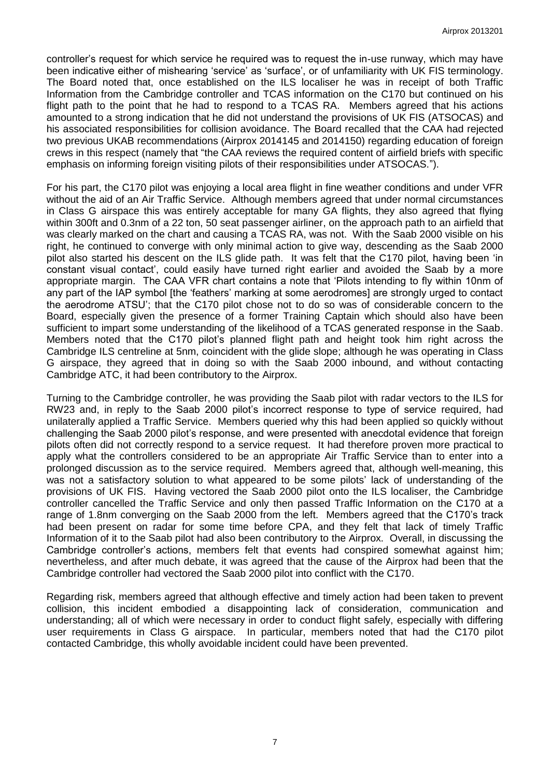controller's request for which service he required was to request the in-use runway, which may have been indicative either of mishearing 'service' as 'surface', or of unfamiliarity with UK FIS terminology. The Board noted that, once established on the ILS localiser he was in receipt of both Traffic Information from the Cambridge controller and TCAS information on the C170 but continued on his flight path to the point that he had to respond to a TCAS RA. Members agreed that his actions amounted to a strong indication that he did not understand the provisions of UK FIS (ATSOCAS) and his associated responsibilities for collision avoidance. The Board recalled that the CAA had rejected two previous UKAB recommendations (Airprox 2014145 and 2014150) regarding education of foreign crews in this respect (namely that "the CAA reviews the required content of airfield briefs with specific emphasis on informing foreign visiting pilots of their responsibilities under ATSOCAS.").

For his part, the C170 pilot was enjoying a local area flight in fine weather conditions and under VFR without the aid of an Air Traffic Service. Although members agreed that under normal circumstances in Class G airspace this was entirely acceptable for many GA flights, they also agreed that flying within 300ft and 0.3nm of a 22 ton, 50 seat passenger airliner, on the approach path to an airfield that was clearly marked on the chart and causing a TCAS RA, was not. With the Saab 2000 visible on his right, he continued to converge with only minimal action to give way, descending as the Saab 2000 pilot also started his descent on the ILS glide path. It was felt that the C170 pilot, having been 'in constant visual contact', could easily have turned right earlier and avoided the Saab by a more appropriate margin. The CAA VFR chart contains a note that 'Pilots intending to fly within 10nm of any part of the IAP symbol [the 'feathers' marking at some aerodromes] are strongly urged to contact the aerodrome ATSU'; that the C170 pilot chose not to do so was of considerable concern to the Board, especially given the presence of a former Training Captain which should also have been sufficient to impart some understanding of the likelihood of a TCAS generated response in the Saab. Members noted that the C170 pilot's planned flight path and height took him right across the Cambridge ILS centreline at 5nm, coincident with the glide slope; although he was operating in Class G airspace, they agreed that in doing so with the Saab 2000 inbound, and without contacting Cambridge ATC, it had been contributory to the Airprox.

Turning to the Cambridge controller, he was providing the Saab pilot with radar vectors to the ILS for RW23 and, in reply to the Saab 2000 pilot's incorrect response to type of service required, had unilaterally applied a Traffic Service. Members queried why this had been applied so quickly without challenging the Saab 2000 pilot's response, and were presented with anecdotal evidence that foreign pilots often did not correctly respond to a service request. It had therefore proven more practical to apply what the controllers considered to be an appropriate Air Traffic Service than to enter into a prolonged discussion as to the service required. Members agreed that, although well-meaning, this was not a satisfactory solution to what appeared to be some pilots' lack of understanding of the provisions of UK FIS. Having vectored the Saab 2000 pilot onto the ILS localiser, the Cambridge controller cancelled the Traffic Service and only then passed Traffic Information on the C170 at a range of 1.8nm converging on the Saab 2000 from the left. Members agreed that the C170's track had been present on radar for some time before CPA, and they felt that lack of timely Traffic Information of it to the Saab pilot had also been contributory to the Airprox. Overall, in discussing the Cambridge controller's actions, members felt that events had conspired somewhat against him; nevertheless, and after much debate, it was agreed that the cause of the Airprox had been that the Cambridge controller had vectored the Saab 2000 pilot into conflict with the C170.

Regarding risk, members agreed that although effective and timely action had been taken to prevent collision, this incident embodied a disappointing lack of consideration, communication and understanding; all of which were necessary in order to conduct flight safely, especially with differing user requirements in Class G airspace. In particular, members noted that had the C170 pilot contacted Cambridge, this wholly avoidable incident could have been prevented.